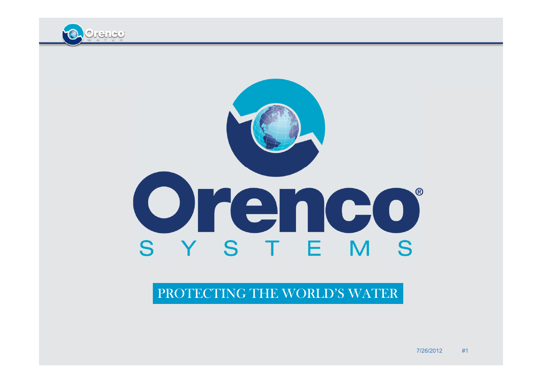

# orenco S Y S T E M S

#### PROTECTING THE WORLD'S WATER

7/26/2012 #1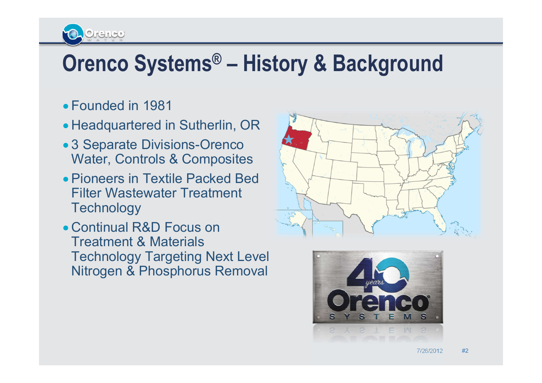## **Orenco Systems® – History & Background**

Founded in 1981

Cirenco

- Headquartered in Sutherlin, OR
- 3 Separate Divisions-Orenco Water, Controls & Composites
- Pioneers in Textile Packed Bed Filter Wastewater Treatment **Technology**
- Continual R&D Focus on Treatment & Materials Technology Targeting Next Level Nitrogen & Phosphorus Removal



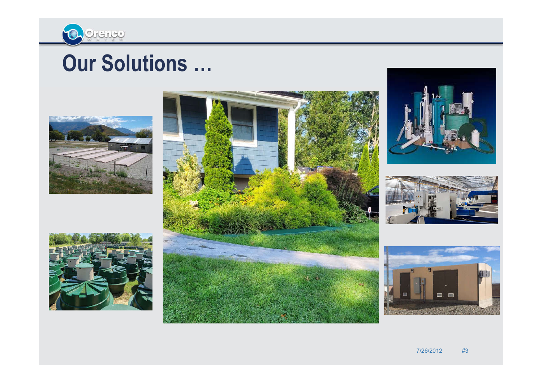

#### **Our Solutions …**







7/26/2012 #3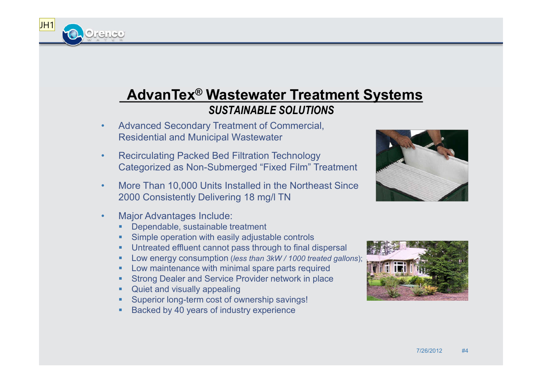#### **AdvanTex® Wastewater Treatment Systems**  *SUSTAINABLE SOLUTIONS*

- Advanced Secondary Treatment of Commercial, Residential and Municipal Wastewater
- Recirculating Packed Bed Filtration Technology Categorized as Non-Submerged "Fixed Film" Treatment
- More Than 10,000 Units Installed in the Northeast Since 2000 Consistently Delivering 18 mg/l TN
- Major Advantages Include:

 $JH1$ 

Orance

- Dependable, sustainable treatment
- Simple operation with easily adjustable controls
- Untreated effluent cannot pass through to final dispersal
- Low energy consumption (*less than 3kW / 1000 treated gallons*);
- **-** Low maintenance with minimal spare parts required
- Strong Dealer and Service Provider network in place
- Quiet and visually appealing
- Superior long-term cost of ownership savings!
- Backed by 40 years of industry experience



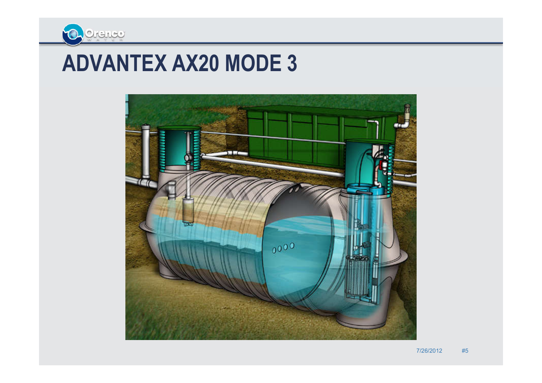

#### **ADVANTEX AX20 MODE 3**

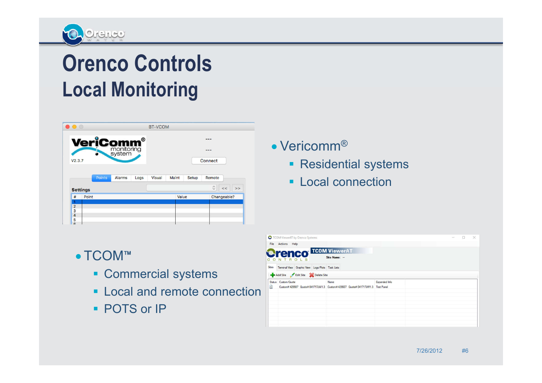

## **Orenco Controls Local Monitoring**

| 0                           |               |        |      | <b>BT-VCOM</b> |       |       |             |         |
|-----------------------------|---------------|--------|------|----------------|-------|-------|-------------|---------|
| <b>VeriComm<sup>®</sup></b> |               |        |      | ---<br>---     |       |       |             |         |
|                             |               |        |      |                |       |       |             |         |
|                             |               |        |      |                |       |       |             |         |
|                             | <b>Points</b> | Alarms | Logs | <b>Visual</b>  | Maint | Setup | Remote      |         |
| <b>Settings</b>             |               |        |      |                |       |       | Ĉ           | ><br><< |
| #                           | Point         |        |      |                | Value |       | Changeable? |         |
|                             |               |        |      |                |       |       |             |         |
| 1<br>$\overline{2}$         |               |        |      |                |       |       |             |         |
| 3<br>$\overline{a}$         |               |        |      |                |       |       |             |         |

- TCOM™
	- **Commercial systems**
	- **Local and remote connection**
	- **POTS or IP**
- Vericomm<sup>®</sup>
	- **Residential systems**
	- **Local connection**

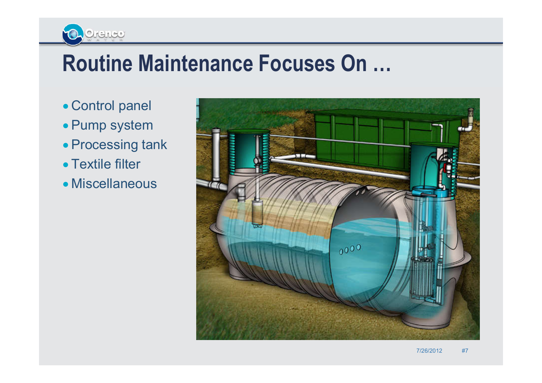## **Routine Maintenance Focuses On …**

Control panel

Ochence

- Pump system
- Processing tank
- Textile filter
- Miscellaneous

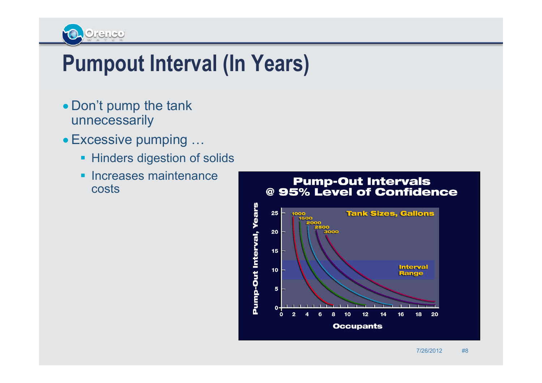

#### **Pumpout Interval (In Years)**

- Don't pump the tank unnecessarily
- Excessive pumping …
	- **Hinders digestion of solids**
	- **Increases maintenance** costs

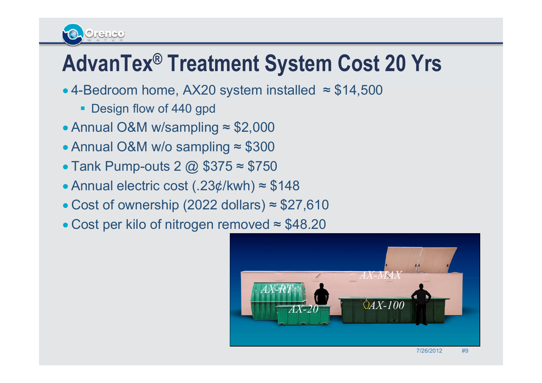## **AdvanTex® Treatment System Cost 20 Yrs**

- $\bullet$  4-Bedroom home, AX20 system installed  $\approx$  \$14,500
	- **Design flow of 440 gpd**

KANCO

- Annual O&M w/sampling ≈ \$2,000
- Annual O&M w/o sampling ≈ \$300
- $\bullet$  Tank Pump-outs 2  $\omega$  \$375  $\approx$  \$750
- Annual electric cost (.23¢/kwh) ≈ \$148
- $\bullet$  Cost of ownership (2022 dollars)  $\approx$  \$27,610
- Cost per kilo of nitrogen removed ≈ \$48.20